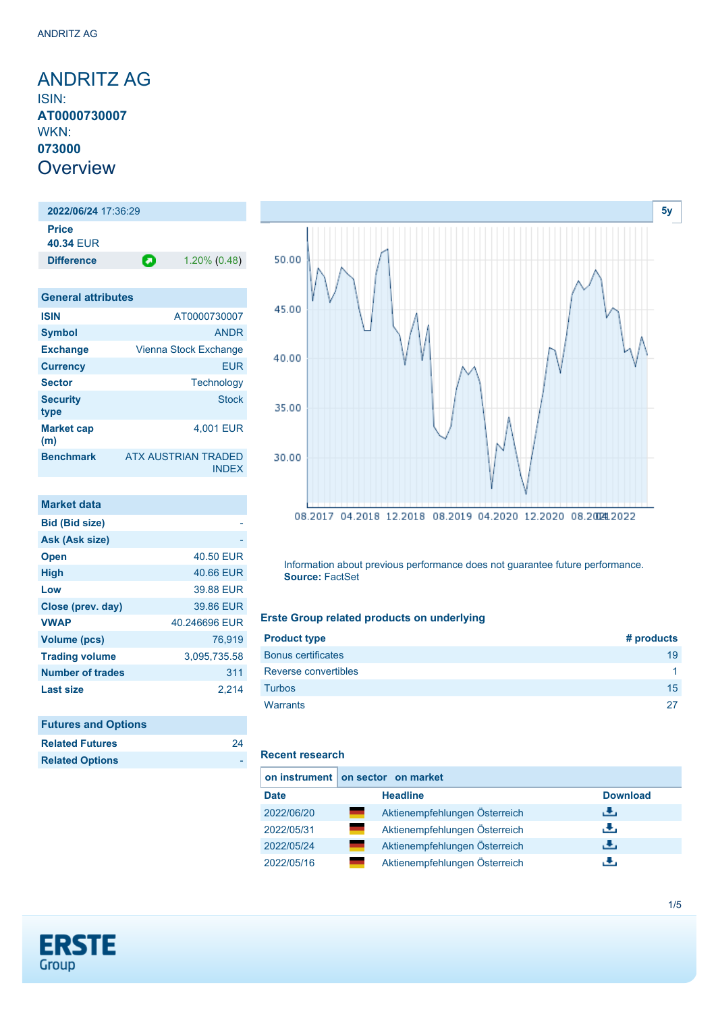<span id="page-0-0"></span>ANDRITZ AG ISIN: **AT0000730007** WKN: **073000 Overview** 

**2022/06/24** 17:36:29 **Price 40.34** EUR **Difference 1.20% (0.48)** 

| <b>General attributes</b> |                                     |
|---------------------------|-------------------------------------|
| <b>ISIN</b>               | AT0000730007                        |
| <b>Symbol</b>             | <b>ANDR</b>                         |
| <b>Exchange</b>           | Vienna Stock Exchange               |
| <b>Currency</b>           | FUR                                 |
| <b>Sector</b>             | Technology                          |
| <b>Security</b><br>type   | <b>Stock</b>                        |
| <b>Market cap</b><br>(m)  | 4.001 EUR                           |
| <b>Benchmark</b>          | ATX AUSTRIAN TRADED<br><b>INDEX</b> |

| <b>Market data</b>      |               |
|-------------------------|---------------|
| <b>Bid (Bid size)</b>   |               |
| Ask (Ask size)          |               |
| <b>Open</b>             | 40.50 EUR     |
| <b>High</b>             | 40.66 EUR     |
| Low                     | 39.88 EUR     |
| Close (prev. day)       | 39.86 EUR     |
| <b>VWAP</b>             | 40.246696 EUR |
| <b>Volume (pcs)</b>     | 76.919        |
| <b>Trading volume</b>   | 3,095,735.58  |
| <b>Number of trades</b> | 311           |
| <b>Last size</b>        | 2.214         |

| <b>Futures and Options</b> |    |
|----------------------------|----|
| <b>Related Futures</b>     | 24 |
| <b>Related Options</b>     |    |



Information about previous performance does not guarantee future performance. **Source:** FactSet

#### **Erste Group related products on underlying**

| <b>Product type</b>       | # products           |
|---------------------------|----------------------|
| <b>Bonus certificates</b> | 19                   |
| Reverse convertibles      | $\blacktriangleleft$ |
| <b>Turbos</b>             | 15                   |
| <b>Warrants</b>           | 27                   |

### **Recent research**

|             | on instrument on sector on market |                 |  |  |  |
|-------------|-----------------------------------|-----------------|--|--|--|
| <b>Date</b> | <b>Headline</b>                   | <b>Download</b> |  |  |  |
| 2022/06/20  | Aktienempfehlungen Österreich     | ريان            |  |  |  |
| 2022/05/31  | Aktienempfehlungen Österreich     | æ,              |  |  |  |
| 2022/05/24  | Aktienempfehlungen Österreich     | رنان            |  |  |  |
| 2022/05/16  | Aktienempfehlungen Österreich     | . Ф.,           |  |  |  |

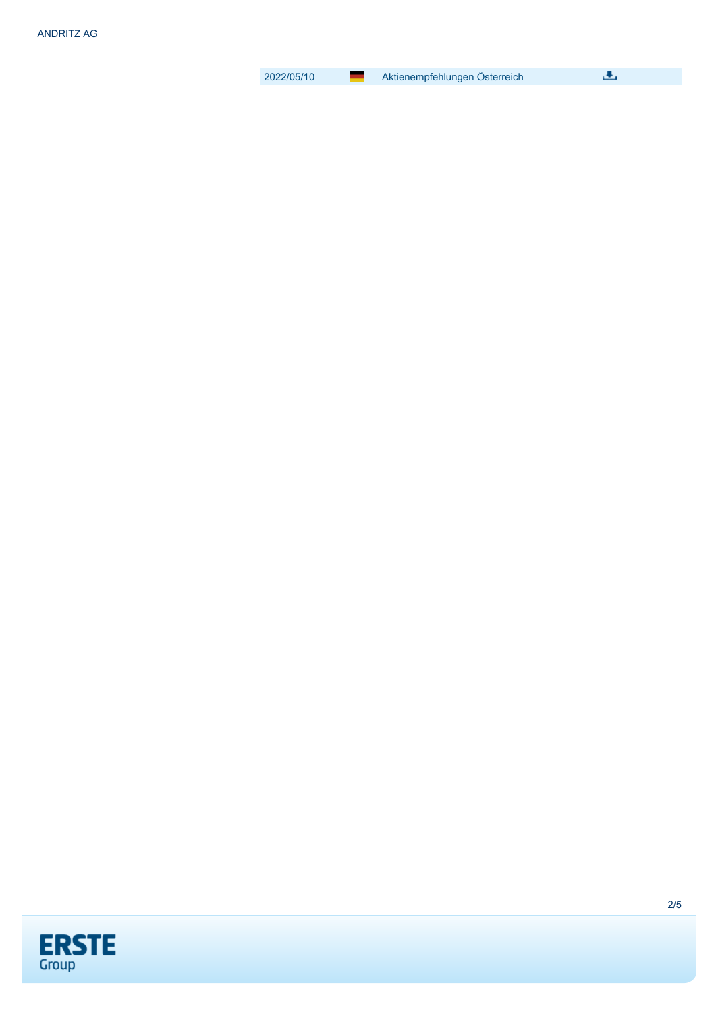2022/05/10 [Aktienempfehlungen Österreich](https://de.products.erstegroup.com/Retail/en/ResearchCenter/Overview/Research_Detail/index.phtml?ID_ENTRY=276965)

画

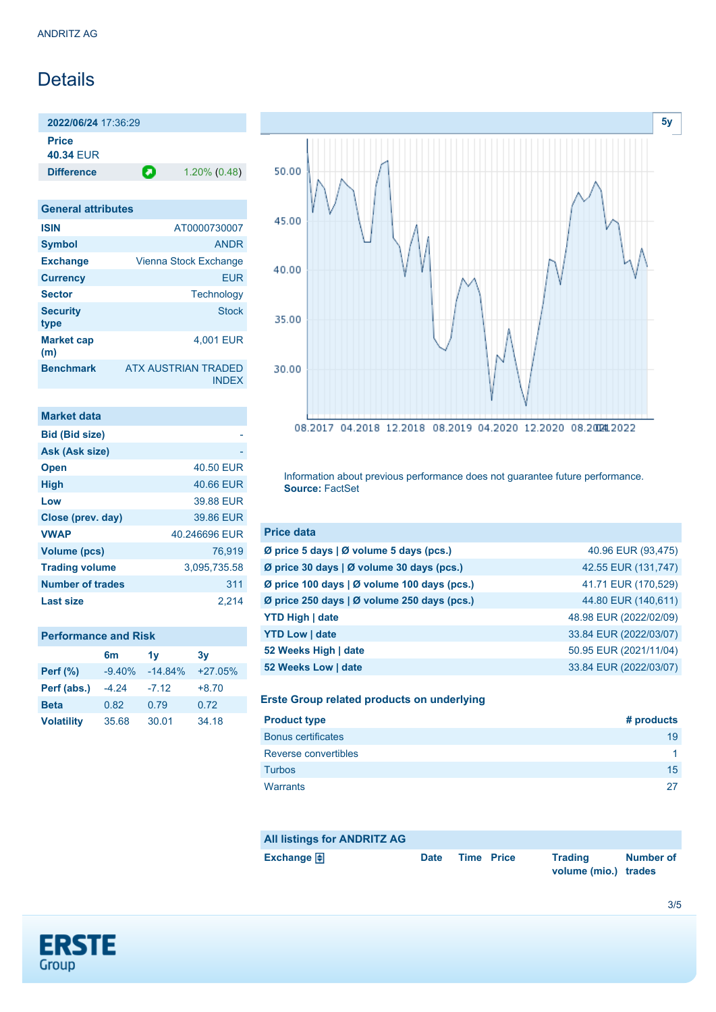# **Details**

**2022/06/24** 17:36:29 **Price 40.34** EUR

**Difference 1.20% (0.48)** 

| <b>General attributes</b> |                                            |
|---------------------------|--------------------------------------------|
| <b>ISIN</b>               | AT0000730007                               |
| <b>Symbol</b>             | <b>ANDR</b>                                |
| <b>Exchange</b>           | Vienna Stock Exchange                      |
| <b>Currency</b>           | <b>EUR</b>                                 |
| <b>Sector</b>             | Technology                                 |
| <b>Security</b><br>type   | <b>Stock</b>                               |
| <b>Market cap</b><br>(m)  | 4.001 EUR                                  |
| <b>Benchmark</b>          | <b>ATX AUSTRIAN TRADED</b><br><b>INDEX</b> |

| Market data             |               |
|-------------------------|---------------|
| <b>Bid (Bid size)</b>   |               |
| Ask (Ask size)          |               |
| <b>Open</b>             | 40.50 EUR     |
| <b>High</b>             | 40.66 EUR     |
| Low                     | 39.88 EUR     |
| Close (prev. day)       | 39.86 EUR     |
| <b>VWAP</b>             | 40.246696 EUR |
| Volume (pcs)            | 76.919        |
| <b>Trading volume</b>   | 3,095,735.58  |
| <b>Number of trades</b> | 311           |
| Last size               | 2.214         |

| <b>Performance and Risk</b> |  |
|-----------------------------|--|
|-----------------------------|--|

|                   | 6m       | 1v        | 3v        |
|-------------------|----------|-----------|-----------|
| <b>Perf</b> (%)   | $-9.40%$ | $-14.84%$ | $+27.05%$ |
| Perf (abs.)       | $-4.24$  | $-7.12$   | $+8.70$   |
| <b>Beta</b>       | 0.82     | 0.79      | 0.72      |
| <b>Volatility</b> | 35.68    | 30.01     | 34.18     |



Information about previous performance does not guarantee future performance. **Source:** FactSet

| <b>Price data</b>                           |                        |
|---------------------------------------------|------------------------|
| Ø price 5 days   Ø volume 5 days (pcs.)     | 40.96 EUR (93,475)     |
| Ø price 30 days   Ø volume 30 days (pcs.)   | 42.55 EUR (131,747)    |
| Ø price 100 days   Ø volume 100 days (pcs.) | 41.71 EUR (170,529)    |
| Ø price 250 days   Ø volume 250 days (pcs.) | 44.80 EUR (140,611)    |
| <b>YTD High   date</b>                      | 48.98 EUR (2022/02/09) |
| <b>YTD Low   date</b>                       | 33.84 EUR (2022/03/07) |
| 52 Weeks High   date                        | 50.95 EUR (2021/11/04) |
| 52 Weeks Low   date                         | 33.84 EUR (2022/03/07) |

# **Erste Group related products on underlying**

| <b>Product type</b>       | # products |
|---------------------------|------------|
| <b>Bonus certificates</b> | 19         |
| Reverse convertibles      | -1         |
| <b>Turbos</b>             | 15         |
| Warrants                  | 27         |

| <b>All listings for ANDRITZ AG</b> |             |                   |                                        |           |
|------------------------------------|-------------|-------------------|----------------------------------------|-----------|
| Exchange $\bigoplus$               | <b>Date</b> | <b>Time Price</b> | <b>Trading</b><br>volume (mio.) trades | Number of |

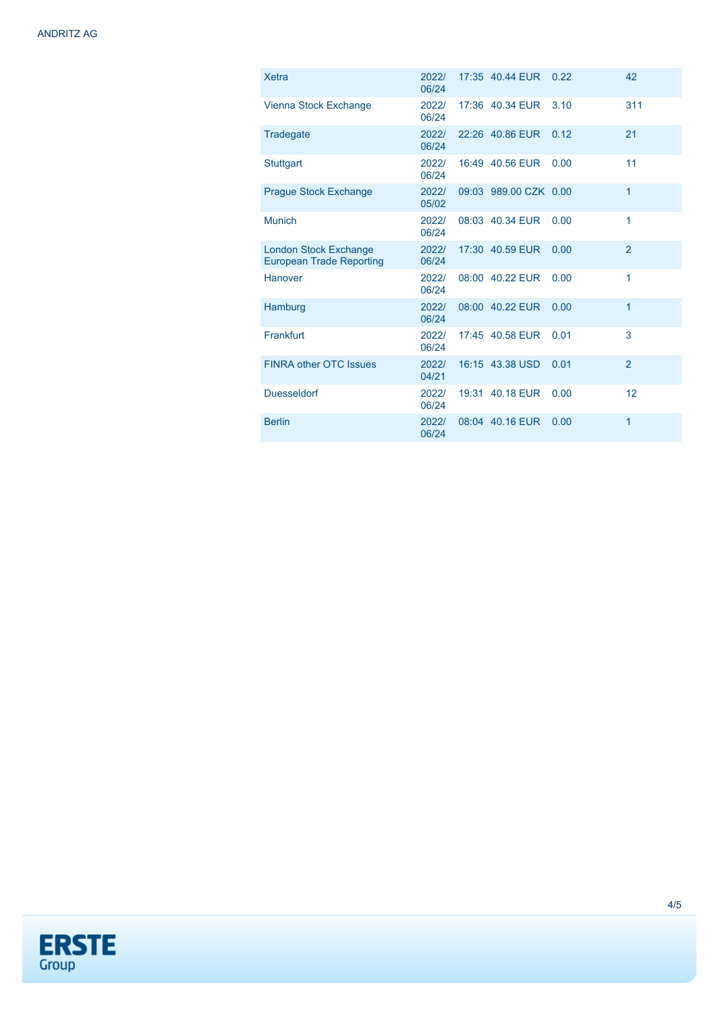| <b>Xetra</b>                                                    | 2022/<br>06/24 | 17:35 40.44 EUR       | 0.22 | 42             |
|-----------------------------------------------------------------|----------------|-----------------------|------|----------------|
| Vienna Stock Exchange                                           | 2022/<br>06/24 | 17:36 40.34 EUR       | 3.10 | 311            |
| Tradegate                                                       | 2022/<br>06/24 | 22:26 40.86 EUR       | 0.12 | 21             |
| <b>Stuttgart</b>                                                | 2022/<br>06/24 | 16:49 40.56 EUR       | 0.00 | 11             |
| <b>Prague Stock Exchange</b>                                    | 2022/<br>05/02 | 09:03 989.00 CZK 0.00 |      | $\mathbf{1}$   |
| <b>Munich</b>                                                   | 2022/<br>06/24 | 08:03 40.34 EUR       | 0.00 | 1              |
| <b>London Stock Exchange</b><br><b>European Trade Reporting</b> | 2022/<br>06/24 | 17:30 40.59 EUR       | 0.00 | $\overline{2}$ |
| Hanover                                                         | 2022/<br>06/24 | 08:00 40.22 EUR       | 0.00 | 1              |
| Hamburg                                                         | 2022/<br>06/24 | 08:00 40.22 EUR       | 0.00 | 1              |
| Frankfurt                                                       | 2022/<br>06/24 | 17:45 40.58 EUR       | 0.01 | 3              |
| <b>FINRA other OTC Issues</b>                                   | 2022/<br>04/21 | 16:15 43.38 USD       | 0.01 | $\overline{2}$ |
| <b>Duesseldorf</b>                                              | 2022/<br>06/24 | 19:31 40.18 EUR       | 0.00 | 12             |
| <b>Berlin</b>                                                   | 2022/<br>06/24 | 08:04 40.16 EUR       | 0.00 | 1              |